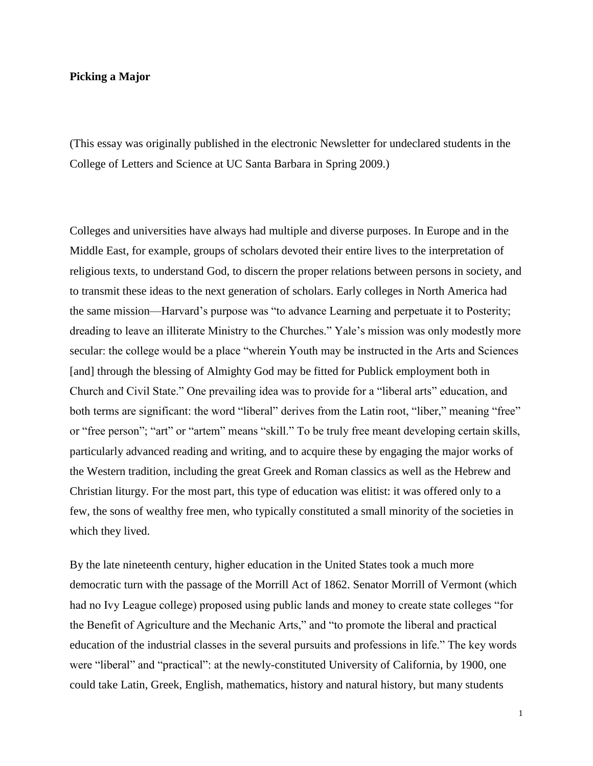## **Picking a Major**

(This essay was originally published in the electronic Newsletter for undeclared students in the College of Letters and Science at UC Santa Barbara in Spring 2009.)

Colleges and universities have always had multiple and diverse purposes. In Europe and in the Middle East, for example, groups of scholars devoted their entire lives to the interpretation of religious texts, to understand God, to discern the proper relations between persons in society, and to transmit these ideas to the next generation of scholars. Early colleges in North America had the same mission—Harvard's purpose was "to advance Learning and perpetuate it to Posterity; dreading to leave an illiterate Ministry to the Churches." Yale's mission was only modestly more secular: the college would be a place "wherein Youth may be instructed in the Arts and Sciences [and] through the blessing of Almighty God may be fitted for Publick employment both in Church and Civil State." One prevailing idea was to provide for a "liberal arts" education, and both terms are significant: the word "liberal" derives from the Latin root, "liber," meaning "free" or "free person"; "art" or "artem" means "skill." To be truly free meant developing certain skills, particularly advanced reading and writing, and to acquire these by engaging the major works of the Western tradition, including the great Greek and Roman classics as well as the Hebrew and Christian liturgy. For the most part, this type of education was elitist: it was offered only to a few, the sons of wealthy free men, who typically constituted a small minority of the societies in which they lived.

By the late nineteenth century, higher education in the United States took a much more democratic turn with the passage of the Morrill Act of 1862. Senator Morrill of Vermont (which had no Ivy League college) proposed using public lands and money to create state colleges "for the Benefit of Agriculture and the Mechanic Arts," and "to promote the liberal and practical education of the industrial classes in the several pursuits and professions in life." The key words were "liberal" and "practical": at the newly-constituted University of California, by 1900, one could take Latin, Greek, English, mathematics, history and natural history, but many students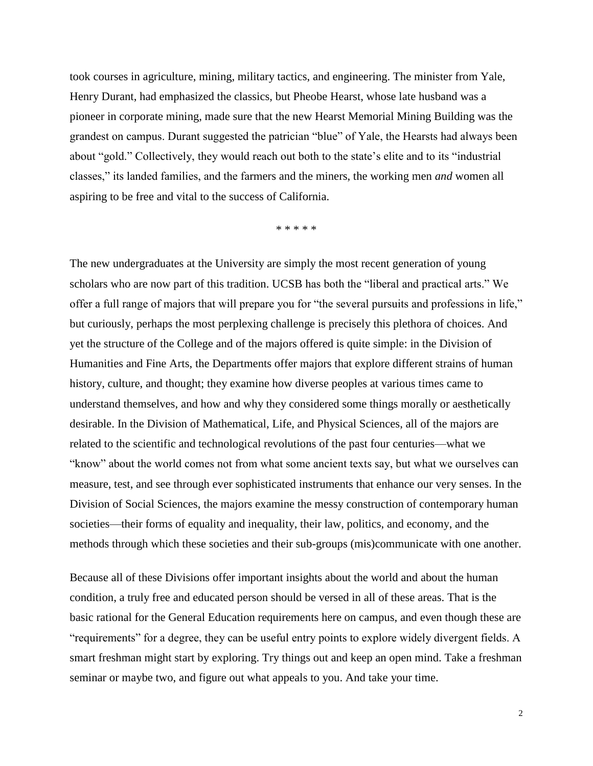took courses in agriculture, mining, military tactics, and engineering. The minister from Yale, Henry Durant, had emphasized the classics, but Pheobe Hearst, whose late husband was a pioneer in corporate mining, made sure that the new Hearst Memorial Mining Building was the grandest on campus. Durant suggested the patrician "blue" of Yale, the Hearsts had always been about "gold." Collectively, they would reach out both to the state's elite and to its "industrial classes," its landed families, and the farmers and the miners, the working men *and* women all aspiring to be free and vital to the success of California.

\* \* \* \* \*

The new undergraduates at the University are simply the most recent generation of young scholars who are now part of this tradition. UCSB has both the "liberal and practical arts." We offer a full range of majors that will prepare you for "the several pursuits and professions in life," but curiously, perhaps the most perplexing challenge is precisely this plethora of choices. And yet the structure of the College and of the majors offered is quite simple: in the Division of Humanities and Fine Arts, the Departments offer majors that explore different strains of human history, culture, and thought; they examine how diverse peoples at various times came to understand themselves, and how and why they considered some things morally or aesthetically desirable. In the Division of Mathematical, Life, and Physical Sciences, all of the majors are related to the scientific and technological revolutions of the past four centuries—what we "know" about the world comes not from what some ancient texts say, but what we ourselves can measure, test, and see through ever sophisticated instruments that enhance our very senses. In the Division of Social Sciences, the majors examine the messy construction of contemporary human societies—their forms of equality and inequality, their law, politics, and economy, and the methods through which these societies and their sub-groups (mis)communicate with one another.

Because all of these Divisions offer important insights about the world and about the human condition, a truly free and educated person should be versed in all of these areas. That is the basic rational for the General Education requirements here on campus, and even though these are "requirements" for a degree, they can be useful entry points to explore widely divergent fields. A smart freshman might start by exploring. Try things out and keep an open mind. Take a freshman seminar or maybe two, and figure out what appeals to you. And take your time.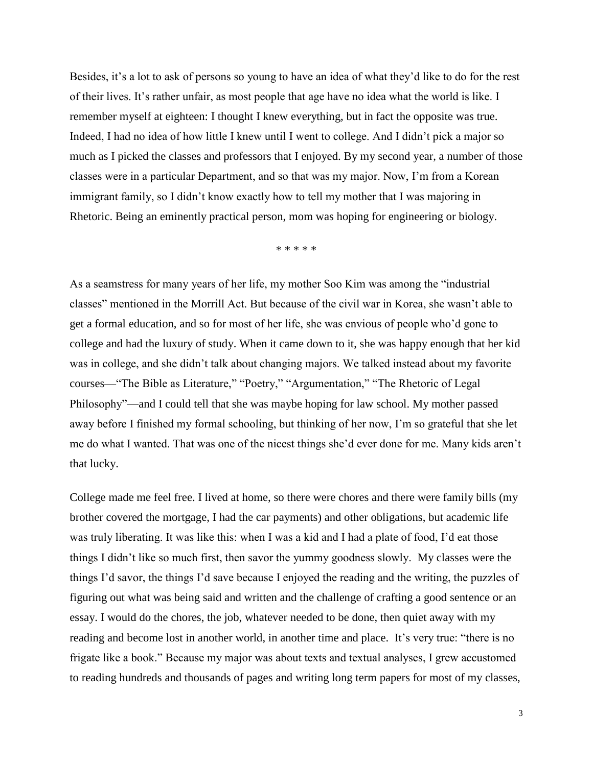Besides, it's a lot to ask of persons so young to have an idea of what they'd like to do for the rest of their lives. It's rather unfair, as most people that age have no idea what the world is like. I remember myself at eighteen: I thought I knew everything, but in fact the opposite was true. Indeed, I had no idea of how little I knew until I went to college. And I didn't pick a major so much as I picked the classes and professors that I enjoyed. By my second year, a number of those classes were in a particular Department, and so that was my major. Now, I'm from a Korean immigrant family, so I didn't know exactly how to tell my mother that I was majoring in Rhetoric. Being an eminently practical person, mom was hoping for engineering or biology.

\* \* \* \* \*

As a seamstress for many years of her life, my mother Soo Kim was among the "industrial classes" mentioned in the Morrill Act. But because of the civil war in Korea, she wasn't able to get a formal education, and so for most of her life, she was envious of people who'd gone to college and had the luxury of study. When it came down to it, she was happy enough that her kid was in college, and she didn't talk about changing majors. We talked instead about my favorite courses—"The Bible as Literature," "Poetry," "Argumentation," "The Rhetoric of Legal Philosophy"—and I could tell that she was maybe hoping for law school. My mother passed away before I finished my formal schooling, but thinking of her now, I'm so grateful that she let me do what I wanted. That was one of the nicest things she'd ever done for me. Many kids aren't that lucky.

College made me feel free. I lived at home, so there were chores and there were family bills (my brother covered the mortgage, I had the car payments) and other obligations, but academic life was truly liberating. It was like this: when I was a kid and I had a plate of food, I'd eat those things I didn't like so much first, then savor the yummy goodness slowly. My classes were the things I'd savor, the things I'd save because I enjoyed the reading and the writing, the puzzles of figuring out what was being said and written and the challenge of crafting a good sentence or an essay. I would do the chores, the job, whatever needed to be done, then quiet away with my reading and become lost in another world, in another time and place. It's very true: "there is no frigate like a book." Because my major was about texts and textual analyses, I grew accustomed to reading hundreds and thousands of pages and writing long term papers for most of my classes,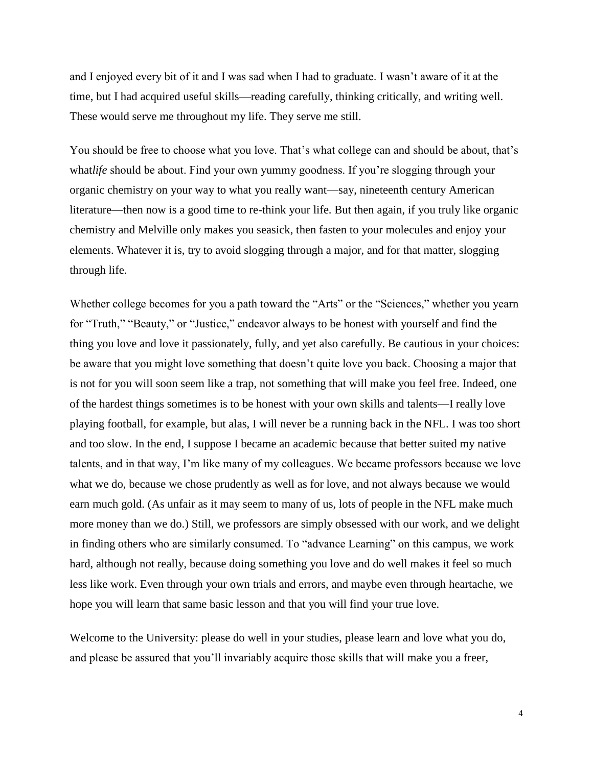and I enjoyed every bit of it and I was sad when I had to graduate. I wasn't aware of it at the time, but I had acquired useful skills—reading carefully, thinking critically, and writing well. These would serve me throughout my life. They serve me still.

You should be free to choose what you love. That's what college can and should be about, that's what*life* should be about. Find your own yummy goodness. If you're slogging through your organic chemistry on your way to what you really want—say, nineteenth century American literature—then now is a good time to re-think your life. But then again, if you truly like organic chemistry and Melville only makes you seasick, then fasten to your molecules and enjoy your elements. Whatever it is, try to avoid slogging through a major, and for that matter, slogging through life.

Whether college becomes for you a path toward the "Arts" or the "Sciences," whether you yearn for "Truth," "Beauty," or "Justice," endeavor always to be honest with yourself and find the thing you love and love it passionately, fully, and yet also carefully. Be cautious in your choices: be aware that you might love something that doesn't quite love you back. Choosing a major that is not for you will soon seem like a trap, not something that will make you feel free. Indeed, one of the hardest things sometimes is to be honest with your own skills and talents—I really love playing football, for example, but alas, I will never be a running back in the NFL. I was too short and too slow. In the end, I suppose I became an academic because that better suited my native talents, and in that way, I'm like many of my colleagues. We became professors because we love what we do, because we chose prudently as well as for love, and not always because we would earn much gold. (As unfair as it may seem to many of us, lots of people in the NFL make much more money than we do.) Still, we professors are simply obsessed with our work, and we delight in finding others who are similarly consumed. To "advance Learning" on this campus, we work hard, although not really, because doing something you love and do well makes it feel so much less like work. Even through your own trials and errors, and maybe even through heartache, we hope you will learn that same basic lesson and that you will find your true love.

Welcome to the University: please do well in your studies, please learn and love what you do, and please be assured that you'll invariably acquire those skills that will make you a freer,